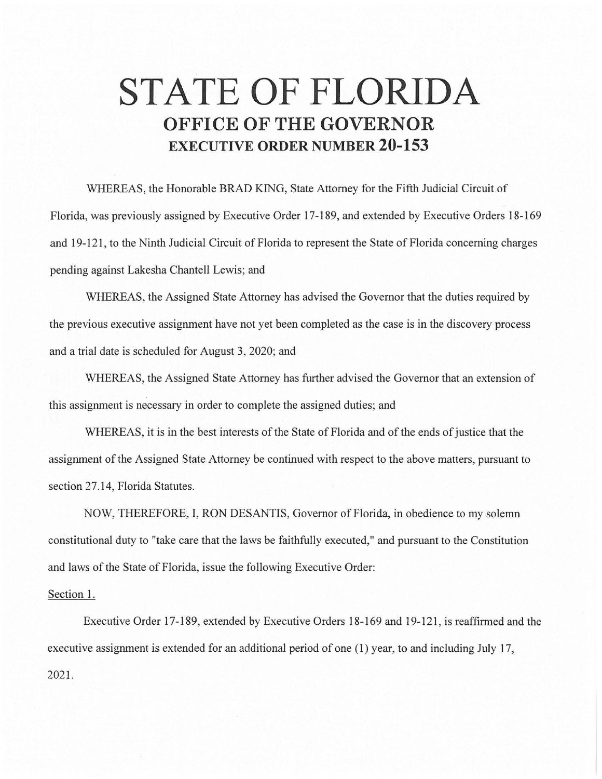## **STATE OF FLORIDA OFFICE OF THE GOVERNOR EXECUTIVE ORDER NUMBER 20-153**

WHEREAS, the Honorable BRAD KING, State Attorney for the Fifth Judicial Circuit of Florida, was previously assigned by Executive Order 17-189, and extended by Executive Orders 18-169 and 19-121 , to the Ninth Judicial Circuit of Florida to represent the State of Florida concerning charges pending against Lakesha Chantell Lewis; and

WHEREAS, the Assigned State Attorney has advised the Governor that the duties required by the previous executive assignment have not yet been completed as the case is in the discovery process and a trial date is scheduled for August 3, 2020; and

WHEREAS, the Assigned State Attorney has further advised the Governor that an extension of this assignment is necessary in order to complete the assigned duties; and

WHEREAS, it is in the best interests of the State of Florida and of the ends of justice that the assignment of the Assigned State Attorney be continued with respect to the above matters, pursuant to section 27.14, Florida Statutes.

NOW, THEREFORE, I, RON DESANTIS, Governor of Florida, in obedience to my solemn constitutional duty to "take care that the laws be faithfully executed," and pursuant to the Constitution and laws of the State of Florida, issue the following Executive Order:

## Section 1.

Executive Order 17-189, extended by Executive Orders 18-169 and 19-121, is reaffirmed and the executive assignment is extended for an additional period of one (1) year, to and including July 17, 2021.